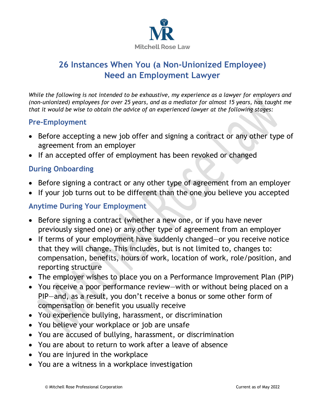

# **26 Instances When You (a Non-Unionized Employee) Need an Employment Lawyer**

*While the following is not intended to be exhaustive, my experience as a lawyer for employers and (non-unionized) employees for over 25 years, and as a mediator for almost 15 years, has taught me that it would be wise to obtain the advice of an experienced lawyer at the following stages:* 

### **Pre-Employment**

- Before accepting a new job offer and signing a contract or any other type of agreement from an employer
- If an accepted offer of employment has been revoked or changed

### **During Onboarding**

- Before signing a contract or any other type of agreement from an employer
- If your job turns out to be different than the one you believe you accepted

### **Anytime During Your Employment**

- Before signing a contract (whether a new one, or if you have never previously signed one) or any other type of agreement from an employer
- If terms of your employment have suddenly changed—or you receive notice that they will change. This includes, but is not limited to, changes to: compensation, benefits, hours of work, location of work, role/position, and reporting structure
- The employer wishes to place you on a Performance Improvement Plan (PIP)
- You receive a poor performance review—with or without being placed on a PIP—and, as a result, you don't receive a bonus or some other form of compensation or benefit you usually receive
- You experience bullying, harassment, or discrimination
- You believe your workplace or job are unsafe
- You are accused of bullying, harassment, or discrimination
- You are about to return to work after a leave of absence
- You are injured in the workplace
- You are a witness in a workplace investigation